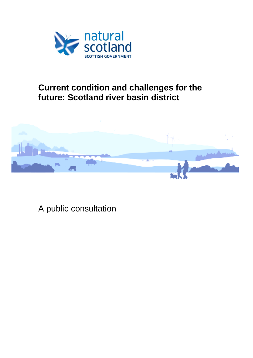

# **Current condition and challenges for the future: Scotland river basin district**



A public consultation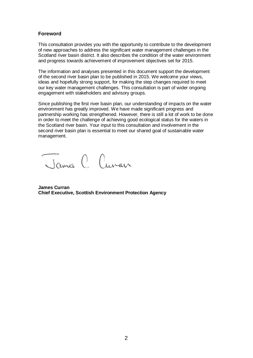#### **Foreword**

This consultation provides you with the opportunity to contribute to the development of new approaches to address the significant water management challenges in the Scotland river basin district. It also describes the condition of the water environment and progress towards achievement of improvement objectives set for 2015.

The information and analyses presented in this document support the development of the second river basin plan to be published in 2015. We welcome your views, ideas and hopefully strong support, for making the step changes required to meet our key water management challenges. This consultation is part of wider ongoing engagement with stakeholders and advisory groups.

Since publishing the first river basin plan, our understanding of impacts on the water environment has greatly improved. We have made significant progress and partnership working has strengthened. However, there is still a lot of work to be done in order to meet the challenge of achieving good ecological status for the waters in the Scotland river basin. Your input to this consultation and involvement in the second river basin plan is essential to meet our shared goal of sustainable water management.

James C Cuvan

**James Curran Chief Executive, Scottish Environment Protection Agency**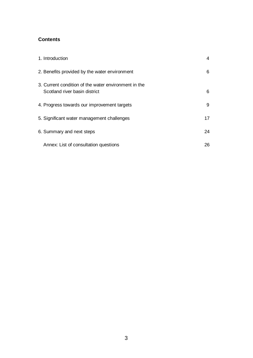## **Contents**

| 1. Introduction                                                                       | 4  |
|---------------------------------------------------------------------------------------|----|
| 2. Benefits provided by the water environment                                         | 6  |
| 3. Current condition of the water environment in the<br>Scotland river basin district | 6  |
| 4. Progress towards our improvement targets                                           | 9  |
| 5. Significant water management challenges                                            | 17 |
| 6. Summary and next steps                                                             | 24 |
| Annex: List of consultation questions                                                 | 26 |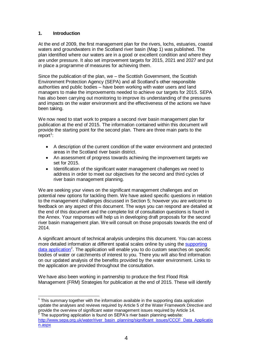## **1. Introduction**

At the end of 2009, the first management plan for the rivers, lochs, estuaries, coastal waters and groundwaters in the Scotland river basin (Map 1) was published. The plan identified where our waters are in a good or excellent condition and where they are under pressure. It also set improvement targets for 2015, 2021 and 2027 and put in place a programme of measures for achieving them.

Since the publication of the plan, we – the Scottish Government, the Scottish Environment Protection Agency (SEPA) and all Scotland's other responsible authorities and public bodies – have been working with water users and land managers to make the improvements needed to achieve our targets for 2015. SEPA has also been carrying out monitoring to improve its understanding of the pressures and impacts on the water environment and the effectiveness of the actions we have been taking.

We now need to start work to prepare a second river basin management plan for publication at the end of 2015. The information contained within this document will provide the starting point for the second plan. There are three main parts to the report<sup>1</sup>:

- A description of the current condition of the water environment and protected areas in the Scotland river basin district.
- An assessment of progress towards achieving the improvement targets we set for 2015.
- Identification of the significant water management challenges we need to  $\bullet$ address in order to meet our objectives for the second and third cycles of river basin management planning.

We are seeking your views on the significant management challenges and on potential new options for tackling them. We have asked specific questions in relation to the management challenges discussed in Section 5; however you are welcome to feedback on any aspect of this document. The ways you can respond are detailed at the end of this document and the complete list of consultation questions is found in the Annex. Your responses will help us in developing draft proposals for the second river basin management plan. We will consult on those proposals towards the end of 2014.

A significant amount of technical analysis underpins this document. You can access more detailed information at different spatial scales online by using the [supporting](http://www.sepa.org.uk/water/river_basin_planning/significant_issues/CCCF_Data_Application.aspx) data [application](http://www.sepa.org.uk/water/river_basin_planning/significant_issues/CCCF_Data_Application.aspx)<sup>2</sup>. The application will enable you to do custom searches on specific bodies of water or catchments of interest to you. There you will also find information on our updated analysis of the benefits provided by the water environment. Links to the application are provided throughout the consultation.

We have also been working in partnership to produce the first Flood Risk Management (FRM) Strategies for publication at the end of 2015. These will identify

**TECLED 10**<br><sup>1</sup> This summary together with the information available in the supporting data application update the analyses and reviews required by Article 5 of the Water Framework Directive and provide the overview of significant water management issues required by Article 14.<br><sup>2</sup> The quanoting engligation is found an SEDA's river besin planning uraboite: The supporting application is found on SEPA's river basin planning website:

[http://www.sepa.org.uk/water/river\\_basin\\_planning/significant\\_issues/CCCF\\_Data\\_Applicatio](http://www.sepa.org.uk/water/river_basin_planning/significant_issues/CCCF_Data_Application.aspx) [n.aspx](http://www.sepa.org.uk/water/river_basin_planning/significant_issues/CCCF_Data_Application.aspx)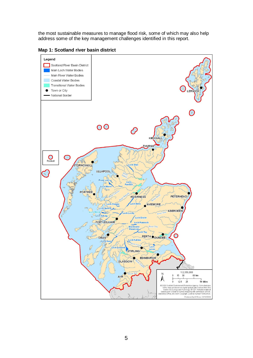the most sustainable measures to manage flood risk, some of which may also help address some of the key management challenges identified in this report.

**Map 1: Scotland river basin district**

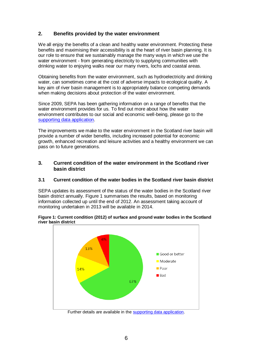## **2. Benefits provided by the water environment**

We all enjoy the benefits of a clean and healthy water environment. Protecting these benefits and maximising their accessibility is at the heart of river basin planning. It is our role to ensure that we sustainably manage the many ways in which we use the water environment - from generating electricity to supplying communities with drinking water to enjoying walks near our many rivers, lochs and coastal areas.

Obtaining benefits from the water environment, such as hydroelectricity and drinking water, can sometimes come at the cost of adverse impacts to ecological quality. A key aim of river basin management is to appropriately balance competing demands when making decisions about protection of the water environment.

Since 2009, SEPA has been gathering information on a range of benefits that the water environment provides for us. To find out more about how the water environment contributes to our social and economic well-being, please go to the [supporting data application.](http://www.sepa.org.uk/water/river_basin_planning/significant_issues/CCCF_Data_Application.aspx)

The improvements we make to the water environment in the Scotland river basin will provide a number of wider benefits, including increased potential for economic growth, enhanced recreation and leisure activities and a healthy environment we can pass on to future generations.

## **3. Current condition of the water environment in the Scotland river basin district**

#### **3.1 Current condition of the water bodies in the Scotland river basin district**

SEPA updates its assessment of the status of the water bodies in the Scotland river basin district annually. Figure 1 summarises the results, based on monitoring information collected up until the end of 2012. An assessment taking account of monitoring undertaken in 2013 will be available in 2014.





Further details are available in th[e supporting data application.](http://www.sepa.org.uk/water/river_basin_planning/significant_issues/CCCF_Data_Application.aspx)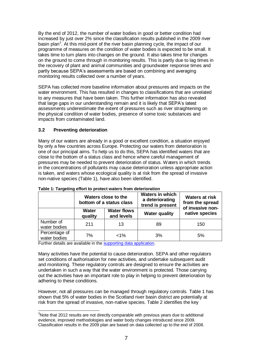By the end of 2012, the number of water bodies in good or better condition had increased by just over 2% since the classification results published in the 2009 river basin plan<sup>3</sup>. At this mid-point of the river basin planning cycle, the impact of our programme of measures on the condition of water bodies is expected to be small. It takes time to turn plans into changes on the ground. It also takes time for changes on the ground to come through in monitoring results. This is partly due to lag times in the recovery of plant and animal communities and groundwater response times and partly because SEPA's assessments are based on combining and averaging monitoring results collected over a number of years.

SEPA has collected more baseline information about pressures and impacts on the water environment. This has resulted in changes to classifications that are unrelated to any measures that have been taken. This further information has also revealed that large gaps in our understanding remain and it is likely that SEPA's latest assessments underestimate the extent of pressures such as river straightening on the physical condition of water bodies, presence of some toxic substances and impacts from contaminated land.

## **3.2 Preventing deterioration**

Many of our waters are already in a good or excellent condition, a situation enjoyed by only a few countries across Europe. Protecting our waters from deterioration is one of our principal aims. To help us to do this, SEPA has identified waters that are close to the bottom of a status class and hence where careful management of pressures may be needed to prevent deterioration of status. Waters in which trends in the concentrations of pollutants may cause deterioration unless appropriate action is taken, and waters whose ecological quality is at risk from the spread of invasive non-native species (Table 1), have also been identified.

|                               | Waters close to the<br>bottom of a status class |                                  | <b>Waters in which</b><br>a deteriorating<br>trend is present | <b>Waters at risk</b><br>from the spread<br>of invasive non- |
|-------------------------------|-------------------------------------------------|----------------------------------|---------------------------------------------------------------|--------------------------------------------------------------|
|                               | <b>Water</b><br>quality                         | <b>Water flows</b><br>and levels | <b>Water quality</b>                                          | native species                                               |
| Number of<br>water bodies     | 211                                             | 13                               | 89                                                            | 150                                                          |
| Percentage of<br>water bodies | 7%                                              | $1\%$                            | 3%                                                            | 5%                                                           |

**Table 1: Targeting effort to protect waters from deterioration**

Further details are available in the [supporting data application.](http://www.sepa.org.uk/water/river_basin_planning/significant_issues/CCCF_Data_Application.aspx)

Many activities have the potential to cause deterioration. SEPA and other regulators set conditions of authorisation for new activities, and undertake subsequent audit and monitoring. These regulatory controls are designed to ensure the activities are undertaken in such a way that the water environment is protected. Those carrying out the activities have an important role to play in helping to prevent deterioration by adhering to these conditions.

However, not all pressures can be managed through regulatory controls. Table 1 has shown that 5% of water bodies in the Scotland river basin district are potentially at risk from the spread of invasive, non-native species. Table 2 identifies the key

 $\overline{\phantom{a}}$  $3$ Note that 2012 results are not directly comparable with previous years due to additional evidence, improved methodologies and water body changes introduced since 2009. Classification results in the 2009 plan are based on data collected up to the end of 2008.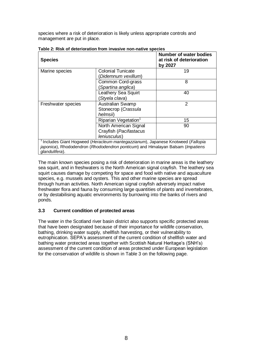species where a risk of deterioration is likely unless appropriate controls and management are put in place.

| <b>Species</b>     |                                                                                 | <b>Number of water bodies</b><br>at risk of deterioration<br>by 2027 |
|--------------------|---------------------------------------------------------------------------------|----------------------------------------------------------------------|
| Marine species     | <b>Colonial Tunicate</b>                                                        | 19                                                                   |
|                    | Didemnum vexillum)                                                              |                                                                      |
|                    | Common Cord-grass                                                               | 8                                                                    |
|                    | (Spartina anglica)                                                              |                                                                      |
|                    | Leathery Sea Squirt                                                             | 40                                                                   |
|                    | (Styela clava)                                                                  |                                                                      |
| Freshwater species | <b>Australian Swamp</b>                                                         | $\overline{2}$                                                       |
|                    | Stonecrop (Crassula                                                             |                                                                      |
|                    | helmsii)                                                                        |                                                                      |
|                    | Riparian Vegetation <sup>1</sup>                                                | 15                                                                   |
|                    | North American Signal                                                           | 90                                                                   |
|                    | Crayfish (Pacifastacus                                                          |                                                                      |
|                    | <i>leniusculus</i> )                                                            |                                                                      |
|                    | Includes Giant Hogweed (Heracleum mantegazzianum), Japanese Knotweed (Fallopia  |                                                                      |
| glandulifera).     | japonica), Rhododendron (Rhododendron ponticum) and Himalayan Balsam (Impatiens |                                                                      |

**Table 2: Risk of deterioration from invasive non-native species**

The main known species posing a risk of deterioration in marine areas is the leathery sea squirt, and in freshwaters is the North American signal crayfish. The leathery sea squirt causes damage by competing for space and food with native and aquaculture species, e.g. mussels and oysters. This and other marine species are spread through human activities. North American signal crayfish adversely impact native freshwater flora and fauna by consuming large quantities of plants and invertebrates, or by destabilising aquatic environments by burrowing into the banks of rivers and ponds.

## **3.3 Current condition of protected areas**

The water in the Scotland river basin district also supports specific protected areas that have been designated because of their importance for wildlife conservation, bathing, drinking water supply, shellfish harvesting, or their vulnerability to eutrophication. SEPA's assessment of the current condition of shellfish water and bathing water protected areas together with Scottish Natural Heritage's (SNH's) assessment of the current condition of areas protected under European legislation for the conservation of wildlife is shown in Table 3 on the following page.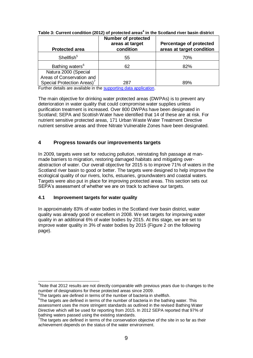| <b>Number of protected</b><br>areas at target<br>condition | Percentage of protected<br>areas at target condition |
|------------------------------------------------------------|------------------------------------------------------|
| 55                                                         | 70%                                                  |
| 62                                                         | 82%                                                  |
|                                                            |                                                      |
| 287                                                        | 89%                                                  |
|                                                            |                                                      |

**Table 3: Current condition (2012) of protected areas<sup>4</sup> in the Scotland river basin district**

Further details are available in the [supporting data application.](http://www.sepa.org.uk/water/river_basin_planning/significant_issues/CCCF_Data_Application.aspx)

The main objective for drinking water protected areas (DWPAs) is to prevent any deterioration in water quality that could compromise water supplies unless purification treatment is increased. Over 800 DWPAs have been designated in Scotland; SEPA and Scottish Water have identified that 14 of these are at risk. For nutrient sensitive protected areas, 171 Urban Waste Water Treatment Directive nutrient sensitive areas and three Nitrate Vulnerable Zones have been designated.

## **4 Progress towards our improvements targets**

In 2009, targets were set for reducing pollution, reinstating fish passage at manmade barriers to migration, restoring damaged habitats and mitigating overabstraction of water. Our overall objective for 2015 is to improve 71% of waters in the Scotland river basin to good or better. The targets were designed to help improve the ecological quality of our rivers, lochs, estuaries, groundwaters and coastal waters. Targets were also put in place for improving protected areas. This section sets out SEPA's assessment of whether we are on track to achieve our targets.

## **4.1 Improvement targets for water quality**

In approximately 83% of water bodies in the Scotland river basin district, water quality was already good or excellent in 2008. We set targets for improving water quality in an additional 6% of water bodies by 2015. At this stage, we are set to improve water quality in 3% of water bodies by 2015 (Figure 2 on the following page).

 $\overline{a}$ <sup>4</sup>Note that 2012 results are not directly comparable with previous years due to changes to the number of designations for these protected areas since 2009.

<sup>&</sup>lt;sup>5</sup>The targets are defined in terms of the number of bacteria in shellfish.

 $6$ The targets are defined in terms of the number of bacteria in the bathing water. This assessment uses the more stringent standards as outlined in the revised Bathing Water Directive which will be used for reporting from 2015. In 2012 SEPA reported that 97% of bathing waters passed using the existing standards.

 $7$ The targets are defined in terms of the conservation objective of the site in so far as their achievement depends on the status of the water environment.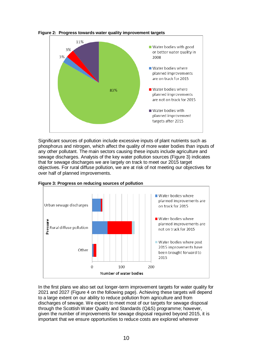

**Figure 2: Progress towards water quality improvement targets**

Significant sources of pollution include excessive inputs of plant nutrients such as phosphorus and nitrogen, which affect the quality of more water bodies than inputs of any other pollutant. The main sectors causing these inputs include agriculture and sewage discharges. Analysis of the key water pollution sources (Figure 3) indicates that for sewage discharges we are largely on track to meet our 2015 target objectives. For rural diffuse pollution, we are at risk of not meeting our objectives for over half of planned improvements.



**Figure 3: Progress on reducing sources of pollution**

In the first plans we also set out longer-term improvement targets for water quality for 2021 and 2027 (Figure 4 on the following page). Achieving these targets will depend to a large extent on our ability to reduce pollution from agriculture and from discharges of sewage. We expect to meet most of our targets for sewage disposal through the Scottish Water Quality and Standards (Q&S) programme; however, given the number of improvements for sewage disposal required beyond 2015, it is important that we ensure opportunities to reduce costs are explored wherever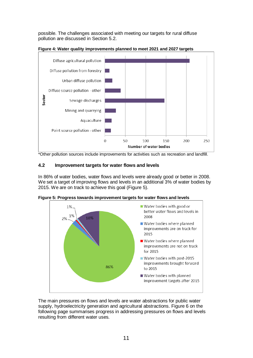possible. The challenges associated with meeting our targets for rural diffuse pollution are discussed in Section 5.2.



**Figure 4: Water quality improvements planned to meet 2021 and 2027 targets**

\*Other pollution sources include improvements for activities such as recreation and landfill.

#### **4.2 Improvement targets for water flows and levels**

In 86% of water bodies, water flows and levels were already good or better in 2008. We set a target of improving flows and levels in an additional 3% of water bodies by 2015. We are on track to achieve this goal (Figure 5).



**Figure 5: Progress towards improvement targets for water flows and levels**

The main pressures on flows and levels are water abstractions for public water supply, hydroelectricity generation and agricultural abstractions. Figure 6 on the following page summarises progress in addressing pressures on flows and levels resulting from different water uses.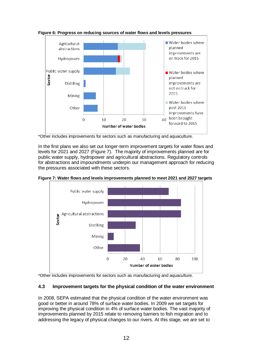

**Figure 6: Progress on reducing sources of water flows and levels pressures**

\*Other includes improvements for sectors such as manufacturing and aquaculture.

In the first plans we also set out longer-term improvement targets for water flows and levels for 2021 and 2027 (Figure 7). The majority of improvements planned are for public water supply, hydropower and agricultural abstractions. Regulatory controls for abstractions and impoundments underpin our management approach for reducing the pressures associated with these sectors.





\*Other includes improvements for sectors such as manufacturing and aquaculture.

#### **4.3 Improvement targets for the physical condition of the water environment**

In 2008, SEPA estimated that the physical condition of the water environment was good or better in around 78% of surface water bodies. In 2009 we set targets for improving the physical condition in 4% of surface water bodies. The vast majority of improvements planned by 2015 relate to removing barriers to fish migration and to addressing the legacy of physical changes to our rivers. At this stage, we are set to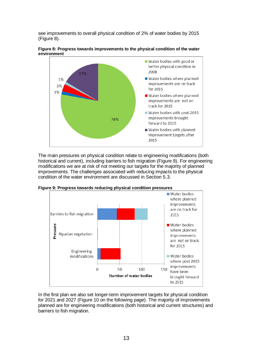see improvements to overall physical condition of 2% of water bodies by 2015 (Figure 8).



**Figure 8: Progress towards improvements to the physical condition of the water environment**

The main pressures on physical condition relate to engineering modifications (both historical and current), including barriers to fish migration (Figure 9). For engineering modifications we are at risk of not meeting our targets for the majority of planned improvements. The challenges associated with reducing impacts to the physical condition of the water environment are discussed in Section 5.3.



**Figure 9: Progress towards reducing physical condition pressures**

In the first plan we also set longer-term improvement targets for physical condition for 2021 and 2027 (Figure 10 on the following page). The majority of improvements planned are for engineering modifications (both historical and current structures) and barriers to fish migration.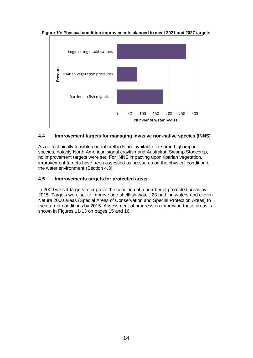

**Figure 10: Physical condition improvements planned to meet 2021 and 2027 targets**

## **4.4 Improvement targets for managing invasive non-native species (INNS)**

As no technically feasible control methods are available for some high impact species, notably North American signal crayfish and Australian Swamp Stonecrop, no improvement targets were set. For INNS impacting upon riparian vegetation, improvement targets have been assessed as pressures on the physical condition of the water environment (Section 4.3).

## **4.5 Improvements targets for protected areas**

In 2009 we set targets to improve the condition of a number of protected areas by 2015. Targets were set to improve one shellfish water, 23 bathing waters and eleven Natura 2000 areas (Special Areas of Conservation and Special Protection Areas) to their target conditions by 2015. Assessment of progress on improving these areas is shown in Figures 11-13 on pages 15 and 16.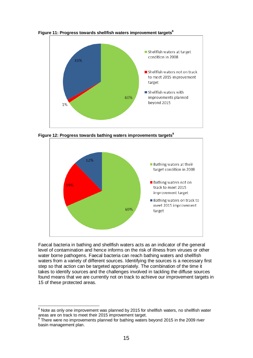

**Figure 11: Progress towards shellfish waters improvement targets<sup>8</sup>**

**Figure 12: Progress towards bathing waters improvements targets<sup>9</sup>**



Faecal bacteria in bathing and shellfish waters acts as an indicator of the general level of contamination and hence informs on the risk of illness from viruses or other water borne pathogens. Faecal bacteria can reach bathing waters and shellfish waters from a variety of different sources. Identifying the sources is a necessary first step so that action can be targeted appropriately. The combination of the time it takes to identify sources and the challenges involved in tackling the diffuse sources found means that we are currently not on track to achieve our improvement targets in 15 of these protected areas.

 $\overline{\phantom{a}}$  $8$  Note as only one improvement was planned by 2015 for shellfish waters, no shellfish water areas are on track to meet their 2015 improvement target.

<sup>&</sup>lt;sup>9</sup> There were no improvements planned for bathing waters beyond 2015 in the 2009 river basin management plan.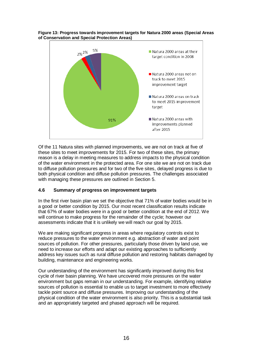



Of the 11 Natura sites with planned improvements, we are not on track at five of these sites to meet improvements for 2015. For two of these sites, the primary reason is a delay in meeting measures to address impacts to the physical condition of the water environment in the protected area. For one site we are not on track due to diffuse pollution pressures and for two of the five sites, delayed progress is due to both physical condition and diffuse pollution pressures. The challenges associated with managing these pressures are outlined in Section 5.

## **4.6 Summary of progress on improvement targets**

In the first river basin plan we set the objective that 71% of water bodies would be in a good or better condition by 2015. Our most recent classification results indicate that 67% of water bodies were in a good or better condition at the end of 2012. We will continue to make progress for the remainder of the cycle; however our assessments indicate that it is unlikely we will reach our goal by 2015.

We are making significant progress in areas where regulatory controls exist to reduce pressures to the water environment e.g. abstraction of water and point sources of pollution. For other pressures, particularly those driven by land use, we need to increase our efforts and adapt our existing approaches to sufficiently address key issues such as rural diffuse pollution and restoring habitats damaged by building, maintenance and engineering works.

Our understanding of the environment has significantly improved during this first cycle of river basin planning. We have uncovered more pressures on the water environment but gaps remain in our understanding. For example, identifying relative sources of pollution is essential to enable us to target investment to more effectively tackle point source and diffuse pressures. Improving our understanding of the physical condition of the water environment is also priority. This is a substantial task and an appropriately targeted and phased approach will be required.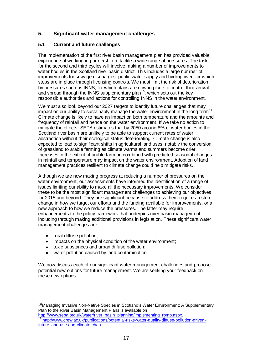## **5. Significant water management challenges**

#### **5.1 Current and future challenges**

The implementation of the first river basin management plan has provided valuable experience of working in partnership to tackle a wide range of pressures. The task for the second and third cycles will involve making a number of improvements to water bodies in the Scotland river basin district. This includes a large number of improvements for sewage discharges, public water supply and hydropower, for which steps are in place through licensing controls. We must limit the risk of deterioration by pressures such as INNS, for which plans are now in place to control their arrival and spread through the INNS supplementary plan<sup>10</sup>, which sets out the key responsible authorities and actions for controlling INNS in the water environment.

We must also look beyond our 2027 targets to identify future challenges that may impact on our ability to sustainably manage the water environment in the long term $^{11}$ . Climate change is likely to have an impact on both temperature and the amounts and frequency of rainfall and hence on the water environment. If we take no action to mitigate the effects, SEPA estimates that by 2050 around 8% of water bodies in the Scotland river basin are unlikely to be able to support current rates of water abstraction without their ecological status deteriorating. Climate change is also expected to lead to significant shifts in agricultural land uses, notably the conversion of grassland to arable farming as climate warms and summers become drier. Increases in the extent of arable farming combined with predicted seasonal changes in rainfall and temperature may impact on the water environment. Adoption of land management practices resilient to climate change could help mitigate risks.

Although we are now making progress at reducing a number of pressures on the water environment, our assessments have informed the identification of a range of issues limiting our ability to make all the necessary improvements. We consider these to be the most significant management challenges to achieving our objectives for 2015 and beyond. They are significant because to address them requires a step change in how we target our efforts and the funding available for improvements, or a new approach to how we reduce the pressures. The latter may require enhancements to the policy framework that underpins river basin management, including through making additional provisions in legislation. These significant water management challenges are:

 $\bullet$ rural diffuse pollution;

<u>.</u>

- impacts on the physical condition of the water environment;  $\bullet$
- toxic substances and urban diffuse pollution;
- water pollution caused by land contamination.

We now discuss each of our significant water management challenges and propose potential new options for future management. We are seeking your feedback on these new options.

 $10$ Managing Invasive Non-Native Species in Scotland's Water Environment: A Supplementary Plan to the River Basin Management Plans is available on

[http://www.sepa.org.uk/water/river\\_basin\\_planning/implementing\\_rbmp.aspx.](http://www.sepa.org.uk/water/river_basin_planning/implementing_rbmp.aspx) <sup>11</sup> [http://www.crew.ac.uk/publications/potential-risks-water-quality-diffuse-pollution-driven](http://www.crew.ac.uk/publications/potential-risks-water-quality-diffuse-pollution-driven-future-land-use-and-climate-chan)[future-land-use-and-climate-chan](http://www.crew.ac.uk/publications/potential-risks-water-quality-diffuse-pollution-driven-future-land-use-and-climate-chan)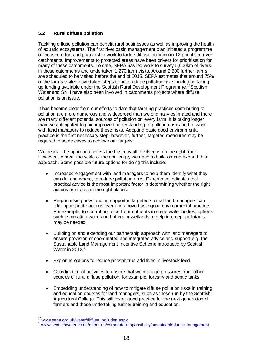## **5.2 Rural diffuse pollution**

Tackling diffuse pollution can benefit rural businesses as well as improving the health of aquatic ecosystems. The first river basin management plan initiated a programme of focused effort and partnership work to tackle diffuse pollution in 12 prioritised river catchments. Improvements to protected areas have been drivers for prioritisation for many of these catchments. To date, SEPA has led work to survey 5,600km of rivers in these catchments and undertaken 1,270 farm visits. Around 2,500 further farms are scheduled to be visited before the end of 2015. SEPA estimates that around 75% of the farms visited have taken steps to help reduce pollution risks, including taking up funding available under the Scottish Rural Development Programme.<sup>12</sup>Scottish Water and SNH have also been involved in catchments projects where diffuse pollution is an issue.

It has become clear from our efforts to date that farming practices contributing to pollution are more numerous and widespread than we originally estimated and there are many different potential sources of pollution on every farm. It is taking longer than we anticipated to gain improved understanding of pollution risks and to work with land managers to reduce these risks. Adopting basic good environmental practice is the first necessary step; however, further, targeted measures may be required in some cases to achieve our targets.

We believe the approach across the basin by all involved is on the right track. However, to meet the scale of the challenge, we need to build on and expand this approach. Some possible future options for doing this include:

- Increased engagement with land managers to help them identify what they can do, and where, to reduce pollution risks. Experience indicates that practical advice is the most important factor in determining whether the right actions are taken in the right places.
- Re-prioritising how funding support is targeted so that land managers can take appropriate actions over and above basic good environmental practice. For example, to control pollution from nutrients in some water bodies, options such as creating woodland buffers or wetlands to help intercept pollutants may be needed.
- Building on and extending our partnership approach with land managers to  $\bullet$ ensure provision of coordinated and integrated advice and support e.g. the Sustainable Land Management Incentive Scheme introduced by Scottish Water in 2013.<sup>13</sup>
- Exploring options to reduce phosphorus additives in livestock feed.
- Coordination of activities to ensure that we manage pressures from other sources of rural diffuse pollution, for example, forestry and septic tanks.
- Embedding understanding of how to mitigate diffuse pollution risks in training  $\bullet$ and education courses for land managers, such as those run by the Scottish Agricultural College. This will foster good practice for the next generation of farmers and those undertaking further training and education.

<u>.</u>

<sup>&</sup>lt;sup>12</sup>[www.sepa.org.uk/water/diffuse\\_pollution.aspx](file:///C:/Documents%20and%20Settings/vanessa.kind/Local%20Settings/Temporary%20Internet%20Files/SWMI/CCCF%20report%20template/Local%20Settings/Documents%20and%20Settings/vanessa.kind/Local%20Settings/Temporary%20Internet%20Files/OLK24/www.sepa.org.uk/water/diffuse_pollution.aspx)

<sup>13</sup>[www.scottishwater.co.uk/about-us/corporate-responsibility/sustainable-land-management](file:///C:/Documents%20and%20Settings/vanessa.kind/Local%20Settings/Temporary%20Internet%20Files/SWMI/CCCF%20report%20template/Local%20Settings/Documents%20and%20Settings/vanessa.kind/Local%20Settings/Temporary%20Internet%20Files/OLK24/www.scottishwater.co.uk/about-us/corporate-responsibility/sustainable-land-management)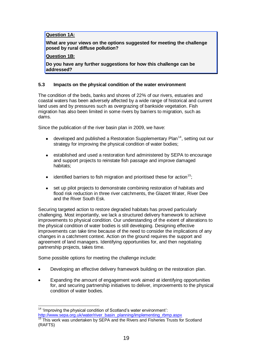## **Question 1A:**

**What are your views on the options suggested for meeting the challenge posed by rural diffuse pollution?** 

#### **Question 1B:**

**Do you have any further suggestions for how this challenge can be addressed?**

#### **5.3 Impacts on the physical condition of the water environment**

The condition of the beds, banks and shores of 22% of our rivers, estuaries and coastal waters has been adversely affected by a wide range of historical and current land uses and by pressures such as overgrazing of bankside vegetation. Fish migration has also been limited in some rivers by barriers to migration, such as dams.

Since the publication of the river basin plan in 2009, we have:

- developed and published a Restoration Supplementary Plan<sup>14</sup>, setting out our  $\bullet$ strategy for improving the physical condition of water bodies;
- $\bullet$ established and used a restoration fund administered by SEPA to encourage and support projects to reinstate fish passage and improve damaged habitats;
- identified barriers to fish migration and prioritised these for action<sup>15</sup>:
- set up pilot projects to demonstrate combining restoration of habitats and flood risk reduction in three river catchments, the Glazert Water, River Dee and the River South Esk.

Securing targeted action to restore degraded habitats has proved particularly challenging. Most importantly, we lack a structured delivery framework to achieve improvements to physical condition. Our understanding of the extent of alterations to the physical condition of water bodies is still developing. Designing effective improvements can take time because of the need to consider the implications of any changes in a catchment context. Action on the ground requires the support and agreement of land managers. Identifying opportunities for, and then negotiating partnership projects, takes time.

Some possible options for meeting the challenge include:

- Developing an effective delivery framework building on the restoration plan.
- Expanding the amount of engagement work aimed at identifying opportunities for, and securing partnership initiatives to deliver, improvements to the physical condition of water bodies.

 $\overline{a}$  $14$  ['Improving the physical condition of Scotland's water environment'](http://www.sepa.org.uk/): [http://www.sepa.org.uk/water/river\\_basin\\_planning/implementing\\_rbmp.aspx](http://www.sepa.org.uk/water/river_basin_planning/implementing_rbmp.aspx) <sup>15</sup> This work was undertaken by SEPA and the Rivers and Fisheries Trusts for Scotland (RAFTS)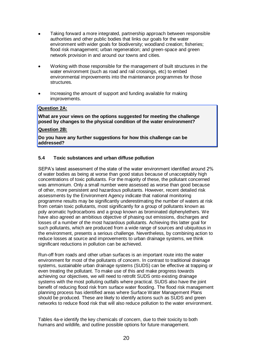- Taking forward a more integrated, partnership approach between responsible authorities and other public bodies that links our goals for the water environment with wider goals for biodiversity; woodland creation; fisheries; flood risk management; urban regeneration; and green-space and green network provision in and around our towns and cities.
- Working with those responsible for the management of built structures in the water environment (such as road and rail crossings, etc) to embed environmental improvements into the maintenance programmes for those structures.
- Increasing the amount of support and funding available for making improvements.

#### **Question 2A:**

**What are your views on the options suggested for meeting the challenge posed by changes to the physical condition of the water environment?** 

#### **Question 2B:**

**Do you have any further suggestions for how this challenge can be addressed?**

## **5.4 Toxic substances and urban diffuse pollution**

SEPA's latest assessment of the state of the water environment identified around 2% of water bodies as being at worse than good status because of unacceptably high concentrations of toxic pollutants. For the majority of these, the pollutant concerned was ammonium. Only a small number were assessed as worse than good because of other, more persistent and hazardous pollutants. However, recent detailed risk assessments by the Environment Agency indicate that national monitoring programme results may be significantly underestimating the number of waters at risk from certain toxic pollutants, most significantly for a group of pollutants known as poly aromatic hydrocarbons and a group known as brominated diphenylethers. We have also agreed an ambitious objective of phasing out emissions, discharges and losses of a number of the most hazardous pollutants. Achieving this latter goal for such pollutants, which are produced from a wide range of sources and ubiquitous in the environment, presents a serious challenge. Nevertheless, by combining action to reduce losses at source and improvements to urban drainage systems, we think significant reductions in pollution can be achieved.

Run-off from roads and other urban surfaces is an important route into the water environment for most of the pollutants of concern. In contrast to traditional drainage systems, sustainable urban drainage systems (SUDS) can be effective at trapping or even treating the pollutant. To make use of this and make progress towards achieving our objectives, we will need to retrofit SUDS onto existing drainage systems with the most polluting outfalls where practical. SUDS also have the joint benefit of reducing flood risk from surface water flooding. The flood risk management planning process has identified areas where Surface Water Management Plans should be produced. These are likely to identify actions such as SUDS and green networks to reduce flood risk that will also reduce pollution to the water environment.

Tables 4a-e identify the key chemicals of concern, due to their toxicity to both humans and wildlife, and outline possible options for future management.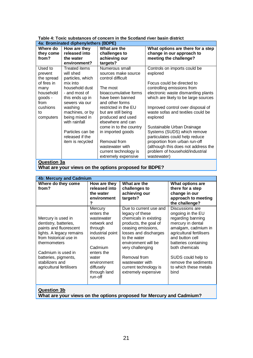| Table 4: Toxic substances of concern in the Scotland river basin district |
|---------------------------------------------------------------------------|
| <u>Ani Promingtod diphonylathers (PDPE)</u>                               |

| 4a: Brominated diphenylethers (BDPE)                        |                                                                                                                     |                                                                                                                                                       |                                                                                                                                                                                                                      |  |
|-------------------------------------------------------------|---------------------------------------------------------------------------------------------------------------------|-------------------------------------------------------------------------------------------------------------------------------------------------------|----------------------------------------------------------------------------------------------------------------------------------------------------------------------------------------------------------------------|--|
| Where do<br>they come<br>from?                              | How are they<br>released into<br>the water<br>environment?                                                          | What are the<br>challenges to<br>achieving our<br>targets?                                                                                            | What options are there for a step<br>change in our approach to<br>meeting the challenge?                                                                                                                             |  |
| Used to<br>prevent<br>the spread<br>of fires in<br>many     | Treated items<br>will shed<br>particles, which<br>mix into<br>household dust                                        | Numerous small<br>sources make source<br>control difficult<br>The most                                                                                | Controls on imports could be<br>explored<br>Focus could be directed to<br>controlling emissions from                                                                                                                 |  |
| household<br>goods -<br>from<br>cushions<br>to<br>computers | - and most of<br>this ends up in<br>sewers via our<br>washing<br>machines, or by<br>being mixed in<br>with rainfall | bioaccumulative forms<br>have been banned<br>and other forms<br>restricted in the EU<br>but are still being<br>produced and used<br>elsewhere and can | electronic waste dismantling plants<br>which are likely to be large sources<br>Improved control over disposal of<br>waste sofas and textiles could be<br>explored                                                    |  |
|                                                             | Particles can be<br>released if the<br>item is recycled                                                             | come in to the country<br>in imported goods<br>Removal from<br>wastewater with<br>current technology is<br>extremely expensive                        | Sustainable Urban Drainage<br>Systems (SUDS) which remove<br>particulates could help reduce<br>proportion from urban run-off<br>although this does not address the<br>problem of household/industrial<br>wastewater) |  |

**Question 3a**

**What are your views on the options proposed for BDPE?**

| <b>4b: Mercury and Cadmium</b>                                                                                                                                                                                                           |                                                                                                                                                                                       |                                                                                                                                                                                                                                                                                          |                                                                                                                                                                                                                                                                               |
|------------------------------------------------------------------------------------------------------------------------------------------------------------------------------------------------------------------------------------------|---------------------------------------------------------------------------------------------------------------------------------------------------------------------------------------|------------------------------------------------------------------------------------------------------------------------------------------------------------------------------------------------------------------------------------------------------------------------------------------|-------------------------------------------------------------------------------------------------------------------------------------------------------------------------------------------------------------------------------------------------------------------------------|
| Where do they come<br>from?                                                                                                                                                                                                              | How are they<br>released into<br>the water<br>environment<br>7                                                                                                                        | What are the<br>challenges to<br>achieving our<br>targets?                                                                                                                                                                                                                               | What options are<br>there for a step<br>change in our<br>approach to meeting<br>the challenge?                                                                                                                                                                                |
| Mercury is used in<br>dentistry, batteries,<br>paints and fluorescent<br>lights. A legacy remains<br>from historical use in<br>thermometers<br>Cadmium is used in<br>batteries, pigments,<br>stabilizers and<br>agricultural fertilisers | Mercury<br>enters the<br>wastewater<br>network and<br>through<br>industrial point<br>sources<br>Cadmium<br>enters the<br>water<br>environment<br>diffusely<br>through land<br>run-off | Due to current use and<br>legacy of these<br>chemicals in existing<br>products, the goal of<br>ceasing emissions,<br>losses and discharges<br>to the water<br>environment will be<br>very challenging<br>Removal from<br>wastewater with<br>current technology is<br>extremely expensive | Discussions are<br>ongoing in the EU<br>regarding banning<br>mercury in dental<br>amalgam, cadmium in<br>agricultural fertilisers<br>and button cell<br>batteries containing<br>both chemicals<br>SUDS could help to<br>remove the sediments<br>to which these metals<br>bind |
|                                                                                                                                                                                                                                          |                                                                                                                                                                                       |                                                                                                                                                                                                                                                                                          |                                                                                                                                                                                                                                                                               |

**Question 3b**

**What are your views on the options proposed for Mercury and Cadmium?**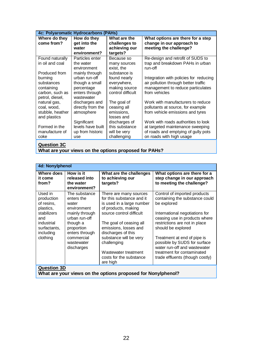| 4c: Polyaromatic Hydrocarbons (PAHs) |                   |                   |                                        |
|--------------------------------------|-------------------|-------------------|----------------------------------------|
| Where do they                        | How do they       | What are the      | What options are there for a step      |
| come from?                           | get into the      | challenges to     | change in our approach to              |
|                                      | water             | achieving our     | meeting the challenge?                 |
|                                      | environment?      | targets?          |                                        |
| Found naturally                      | Particles enter   | Because so        | Re-design and retrofit of SUDS to      |
| in oil and coal                      | the water         | many sources      | trap and breakdown PAHs in urban       |
|                                      | environment       | exist, the        | run-off                                |
| Produced from                        | mainly through    | substance is      |                                        |
| burning                              | urban run-off     | found nearly      | Integration with policies for reducing |
| substances                           | though a small    | everywhere,       | air pollution through better traffic   |
| containing                           | percentage        | making source     | management to reduce particulates      |
| carbon, such as                      | enters through    | control difficult | from vehicles                          |
| petrol, diesel,                      | wastewater        |                   |                                        |
| natural gas,                         | discharges and    | The goal of       | Work with manufacturers to reduce      |
| coal, wood,                          | directly from the | ceasing all       | pollutants at source, for example      |
| stubble, heather                     | atmosphere        | emissions,        | from vehicle emissions and tyres       |
| and plastics                         |                   | losses and        |                                        |
|                                      | Significant       | discharges of     | Work with roads authorities to look    |
| Formed in the                        | levels have built | this substance    | at targeted maintenance sweeping       |
| manufacture of                       | up from historic  | will be very      | of roads and emptying of gully pots    |
| coke                                 | use               | challenging       | on roads with high usage               |
|                                      |                   |                   |                                        |

#### **Question 3C**

**What are your views on the options proposed for PAHs?**

| 4d: Nonylphenol                                                                                                               |                                                                                                                                                                              |                                                                                                                                                                                                                                                                                                                       |                                                                                                                                                                                                                                                                                                                                                                         |
|-------------------------------------------------------------------------------------------------------------------------------|------------------------------------------------------------------------------------------------------------------------------------------------------------------------------|-----------------------------------------------------------------------------------------------------------------------------------------------------------------------------------------------------------------------------------------------------------------------------------------------------------------------|-------------------------------------------------------------------------------------------------------------------------------------------------------------------------------------------------------------------------------------------------------------------------------------------------------------------------------------------------------------------------|
| Where does<br>it come<br>from?                                                                                                | How is it<br>released into<br>the water<br>environment?                                                                                                                      | What are the challenges<br>to achieving our<br>targets?                                                                                                                                                                                                                                                               | What options are there for a<br>step change in our approach<br>to meeting the challenge?                                                                                                                                                                                                                                                                                |
| Used in<br>production<br>of resins,<br>plastics,<br>stabilizers<br>and<br>industrial<br>surfactants,<br>including<br>clothing | The substance<br>enters the<br>water<br>environment<br>mainly through<br>urban run-off<br>though a<br>proportion<br>enters through<br>commercial<br>wastewater<br>discharges | There are many sources<br>for this substance and it<br>is used in a large number<br>of products, making<br>source control difficult<br>The goal of ceasing all<br>emissions, losses and<br>discharges of this<br>substance will be very<br>challenging<br>Wastewater treatment<br>costs for the substance<br>are high | Control of imported products<br>containing the substance could<br>be explored<br>International negotiations for<br>ceasing use in products where<br>restrictions are not in place<br>should be explored<br>Treatment at end of pipe is<br>possible by SUDS for surface<br>water run-off and wastewater<br>treatment for contaminated<br>trade effluents (though costly) |
| <b>Question 3D</b><br>What are your views on the options proposed for Nonylphenol?                                            |                                                                                                                                                                              |                                                                                                                                                                                                                                                                                                                       |                                                                                                                                                                                                                                                                                                                                                                         |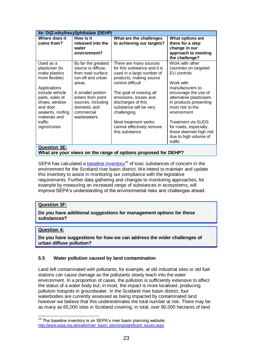| 4e: Di(2-ethylhexyl)phthalate (DEHP)                                                                                  |                                                                                                                                        |                                                                                                                                                                                         |                                                                                                                                                     |  |
|-----------------------------------------------------------------------------------------------------------------------|----------------------------------------------------------------------------------------------------------------------------------------|-----------------------------------------------------------------------------------------------------------------------------------------------------------------------------------------|-----------------------------------------------------------------------------------------------------------------------------------------------------|--|
| Where does it<br>come from?                                                                                           | How is it<br>released into the<br>water<br>environment?                                                                                | What are the challenges<br>to achieving our targets?                                                                                                                                    | What options are<br>there for a step<br>change in our<br>approach to meeting<br>the challenge?                                                      |  |
| Used as a<br>plasticiser (to<br>make plastics<br>more flexible)<br>Applications<br>include vehicle<br>parts, soles of | By far the greatest<br>source is diffuse,<br>from road surface<br>run-off and urban<br>areas<br>A smaller portion<br>enters from point | There are many sources<br>for this substance and it is<br>used in a large number of<br>products, making source<br>control difficult<br>The goal of ceasing all<br>emissions, losses and | Work with other<br>countries on targeted<br><b>EU</b> controls<br>Work with<br>manufacturers to<br>encourage the use of<br>alternative plasticisers |  |
| shoes, window<br>and door<br>sealants, roofing<br>materials and<br>traffic                                            | sources, including<br>domestic and<br>commercial<br>wastewaters                                                                        | discharges of this<br>substance will be very<br>challenging<br>Most treatment works                                                                                                     | in products presenting<br>most risk to the<br>environment<br>Treatment via SUDS                                                                     |  |
| signs/cones<br><b>Question 3E:</b>                                                                                    |                                                                                                                                        | cannot effectively remove<br>this substance<br>What are your views on the range of options proposed for DEHP?                                                                           | for roads, especially<br>those deemed high risk<br>due to high volume of<br>traffic                                                                 |  |

SEPA has calculated a **baseline inventory**<sup>16</sup> of toxic substances of concern in the environment for the Scotland river basin district. We intend to maintain and update this inventory to assist in monitoring our compliance with the legislative requirements. Further data gathering and changes to monitoring approaches, for example by measuring an increased range of substances in ecosystems, will improve SEPA's understanding of the environmental risks and challenges ahead.

#### **Question 3F:**

**Do you have additional suggestions for management options for these substances?**

#### **Question 4:**

 $\overline{a}$ 

**Do you have suggestions for how we can address the wider challenges of urban diffuse pollution?**

#### **5.5 Water pollution caused by land contamination**

Land left contaminated with pollutants, for example, at old industrial sites or old fuel stations can cause damage as the pollutants slowly leach into the water environment. In a proportion of cases, the pollution is sufficiently extensive to affect the status of a water body but, in most, the impact is more localised, producing pollution hotspots in groundwater. In the Scotland river basin district, four waterbodies are currently assessed as being impacted by contaminated land however we believe that this underestimates the total number at risk. There may be as many as 65,000 sites in Scotland covering, in total, over 80,000 hectares of land

 $16$  The baseline inventory is on SEPA's river basin planning website: [http://www.sepa.org.uk/water/river\\_basin\\_planning/significant\\_issues.aspx](http://www.sepa.org.uk/water/river_basin_planning/significant_issues.aspx)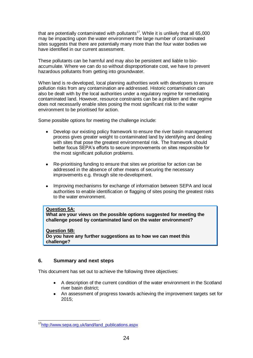that are potentially contaminated with pollutants<sup>17</sup>. While it is unlikely that all 65,000 may be impacting upon the water environment the large number of contaminated sites suggests that there are potentially many more than the four water bodies we have identified in our current assessment.

These pollutants can be harmful and may also be persistent and liable to bioaccumulate. Where we can do so without disproportionate cost, we have to prevent hazardous pollutants from getting into groundwater.

When land is re-developed, local planning authorities work with developers to ensure pollution risks from any contamination are addressed. Historic contamination can also be dealt with by the local authorities under a regulatory regime for remediating contaminated land. However, resource constraints can be a problem and the regime does not necessarily enable sites posing the most significant risk to the water environment to be prioritised for action.

Some possible options for meeting the challenge include:

- Develop our existing policy framework to ensure the river basin management process gives greater weight to contaminated land by identifying and dealing with sites that pose the greatest environmental risk. The framework should better focus SEPA's efforts to secure improvements on sites responsible for the most significant pollution problems.
- Re-prioritising funding to ensure that sites we prioritise for action can be  $\bullet$ addressed in the absence of other means of securing the necessary improvements e.g. through site re-development.
- Improving mechanisms for exchange of information between SEPA and local authorities to enable identification or flagging of sites posing the greatest risks to the water environment.

#### **Question 5A:**

**What are your views on the possible options suggested for meeting the challenge posed by contaminated land on the water environment?**

#### **Question 5B:**

**Do you have any further suggestions as to how we can meet this challenge?**

## **6. Summary and next steps**

This document has set out to achieve the following three objectives:

- A description of the current condition of the water environment in the Scotland river basin district;
- An assessment of progress towards achieving the improvement targets set for 2015;

 $\overline{a}$ <sup>17</sup>[http://www.sepa.org.uk/land/land\\_publications.aspx](http://www.sepa.org.uk/land/land_publications.aspx)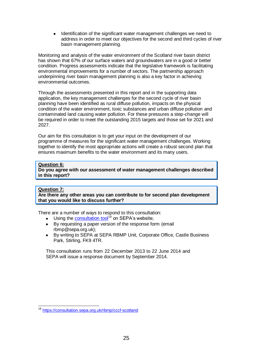Identification of the significant water management challenges we need to address in order to meet our objectives for the second and third cycles of river basin management planning.

Monitoring and analysis of the water environment of the Scotland river basin district has shown that 67% of our surface waters and groundwaters are in a good or better condition. Progress assessments indicate that the legislative framework is facilitating environmental improvements for a number of sectors. The partnership approach underpinning river basin management planning is also a key factor in achieving environmental outcomes.

Through the assessments presented in this report and in the supporting data application, the key management challenges for the second cycle of river basin planning have been identified as rural diffuse pollution, impacts on the physical condition of the water environment, toxic substances and urban diffuse pollution and contaminated land causing water pollution. For these pressures a step-change will be required in order to meet the outstanding 2015 targets and those set for 2021 and 2027.

Our aim for this consultation is to get your input on the development of our programme of measures for the significant water management challenges. Working together to identify the most appropriate actions will create a robust second plan that ensures maximum benefits to the water environment and its many users.

#### **Question 6:**

**Do you agree with our assessment of water management challenges described in this report?**

## **Question 7:**

**Are there any other areas you can contribute to for second plan development that you would like to discuss further?**

There are a number of ways to respond to this consultation:

- Using the [consultation tool](https://consultation.sepa.org.uk/cccf-scotland)<sup>18</sup> on SEPA's website;  $\bullet$
- By requesting a paper version of the response form (email rbmp@sepa.org.uk);
- $\bullet$ By writing to SEPA at SEPA RBMP Unit, Corporate Office, Castle Business Park, Stirling, FK9 4TR.

This consultation runs from 22 December 2013 to 22 June 2014 and SEPA will issue a response document by September 2014.

 $\overline{a}$ <sup>18</sup> <https://consultation.sepa.org.uk/rbmp/cccf-scotland>